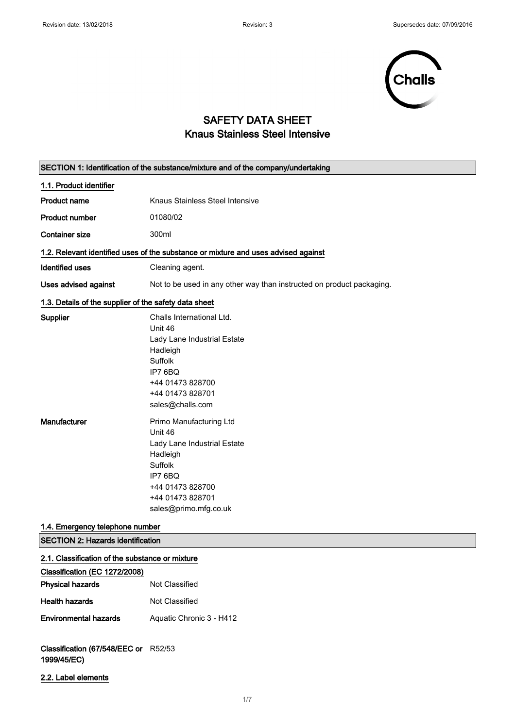

# SAFETY DATA SHEET Knaus Stainless Steel Intensive

| SECTION 1: Identification of the substance/mixture and of the company/undertaking |                                                                                                                                                                      |  |
|-----------------------------------------------------------------------------------|----------------------------------------------------------------------------------------------------------------------------------------------------------------------|--|
| 1.1. Product identifier                                                           |                                                                                                                                                                      |  |
| <b>Product name</b>                                                               | Knaus Stainless Steel Intensive                                                                                                                                      |  |
| <b>Product number</b>                                                             | 01080/02                                                                                                                                                             |  |
| <b>Container size</b>                                                             | 300ml                                                                                                                                                                |  |
|                                                                                   | 1.2. Relevant identified uses of the substance or mixture and uses advised against                                                                                   |  |
| <b>Identified uses</b>                                                            | Cleaning agent.                                                                                                                                                      |  |
| <b>Uses advised against</b>                                                       | Not to be used in any other way than instructed on product packaging.                                                                                                |  |
| 1.3. Details of the supplier of the safety data sheet                             |                                                                                                                                                                      |  |
| <b>Supplier</b>                                                                   | Challs International Ltd.<br>Unit 46<br>Lady Lane Industrial Estate<br>Hadleigh<br>Suffolk<br>IP7 6BQ<br>+44 01473 828700<br>+44 01473 828701<br>sales@challs.com    |  |
| Manufacturer                                                                      | Primo Manufacturing Ltd<br>Unit 46<br>Lady Lane Industrial Estate<br>Hadleigh<br>Suffolk<br>IP7 6BQ<br>+44 01473 828700<br>+44 01473 828701<br>sales@primo.mfg.co.uk |  |
| 1.4. Emergency telephone number                                                   |                                                                                                                                                                      |  |
| <b>SECTION 2: Hazards identification</b>                                          |                                                                                                                                                                      |  |
| 2.1. Classification of the substance or mixture<br>Classification (EC 1272/2008)  |                                                                                                                                                                      |  |
| <b>Physical hazards</b>                                                           | Not Classified                                                                                                                                                       |  |
| <b>Health hazards</b>                                                             | Not Classified                                                                                                                                                       |  |
| <b>Environmental hazards</b>                                                      | Aquatic Chronic 3 - H412                                                                                                                                             |  |
| Classification (67/548/EEC or R52/53<br>1999/45/EC)                               |                                                                                                                                                                      |  |
| 2.2. Label elements                                                               |                                                                                                                                                                      |  |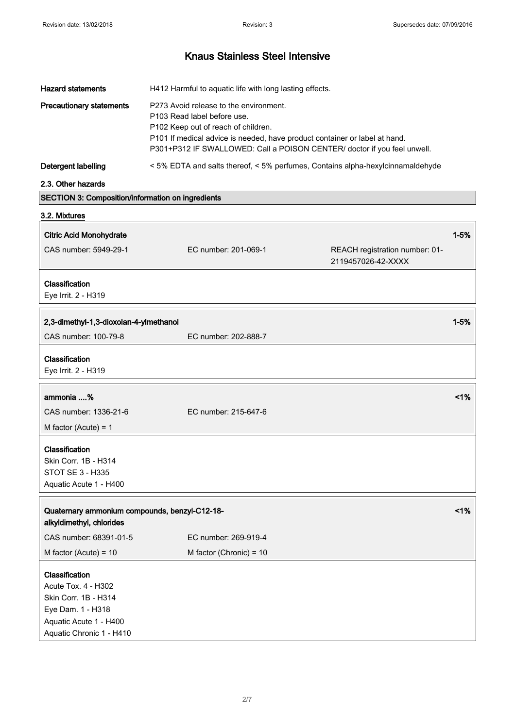| <b>Hazard statements</b>                                 | H412 Harmful to aquatic life with long lasting effects.                                                                                                                                                                                                                |                                                                                |          |
|----------------------------------------------------------|------------------------------------------------------------------------------------------------------------------------------------------------------------------------------------------------------------------------------------------------------------------------|--------------------------------------------------------------------------------|----------|
| <b>Precautionary statements</b>                          | P273 Avoid release to the environment.<br>P103 Read label before use.<br>P102 Keep out of reach of children.<br>P101 If medical advice is needed, have product container or label at hand.<br>P301+P312 IF SWALLOWED: Call a POISON CENTER/ doctor if you feel unwell. |                                                                                |          |
| Detergent labelling                                      |                                                                                                                                                                                                                                                                        | < 5% EDTA and salts thereof, < 5% perfumes, Contains alpha-hexylcinnamaldehyde |          |
| 2.3. Other hazards                                       |                                                                                                                                                                                                                                                                        |                                                                                |          |
| <b>SECTION 3: Composition/information on ingredients</b> |                                                                                                                                                                                                                                                                        |                                                                                |          |
| 3.2. Mixtures                                            |                                                                                                                                                                                                                                                                        |                                                                                |          |
| <b>Citric Acid Monohydrate</b>                           |                                                                                                                                                                                                                                                                        |                                                                                | $1 - 5%$ |
| CAS number: 5949-29-1                                    | EC number: 201-069-1                                                                                                                                                                                                                                                   | REACH registration number: 01-<br>2119457026-42-XXXX                           |          |
| Classification<br>Eye Irrit. 2 - H319                    |                                                                                                                                                                                                                                                                        |                                                                                |          |
| 2,3-dimethyl-1,3-dioxolan-4-ylmethanol                   |                                                                                                                                                                                                                                                                        |                                                                                | $1 - 5%$ |
| CAS number: 100-79-8                                     | EC number: 202-888-7                                                                                                                                                                                                                                                   |                                                                                |          |
| Classification<br>Eye Irrit. 2 - H319                    |                                                                                                                                                                                                                                                                        |                                                                                |          |

| ammonia %              |                      | 1% |
|------------------------|----------------------|----|
| CAS number: 1336-21-6  | EC number: 215-647-6 |    |
| M factor (Acute) = $1$ |                      |    |
|                        |                      |    |

Classification Skin Corr. 1B - H314 STOT SE 3 - H335 Aquatic Acute 1 - H400

Aquatic Chronic 1 - H410

| Quaternary ammonium compounds, benzyl-C12-18-<br>alkyldimethyl, chlorides |                           | $1\%$ |
|---------------------------------------------------------------------------|---------------------------|-------|
| CAS number: 68391-01-5                                                    | EC number: 269-919-4      |       |
| M factor (Acute) = $10$                                                   | M factor (Chronic) = $10$ |       |
| <b>Classification</b><br>Acute Tox. 4 - H302                              |                           |       |
| Skin Corr. 1B - H314                                                      |                           |       |
| Eye Dam. 1 - H318                                                         |                           |       |
| Aquatic Acute 1 - H400                                                    |                           |       |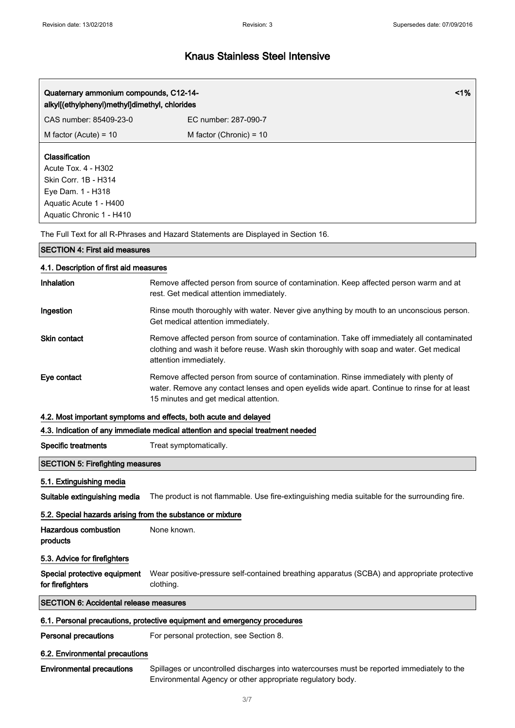| Quaternary ammonium compounds, C12-14-<br>alkyl[(ethylphenyl)methyl]dimethyl, chlorides                                                         |                           | $1\%$ |
|-------------------------------------------------------------------------------------------------------------------------------------------------|---------------------------|-------|
| CAS number: 85409-23-0                                                                                                                          | EC number: 287-090-7      |       |
| M factor (Acute) = $10$                                                                                                                         | M factor (Chronic) = $10$ |       |
| <b>Classification</b><br>Acute Tox. 4 - H302<br>Skin Corr. 1B - H314<br>Eye Dam. 1 - H318<br>Aquatic Acute 1 - H400<br>Aquatic Chronic 1 - H410 |                           |       |

The Full Text for all R-Phrases and Hazard Statements are Displayed in Section 16.

### SECTION 4: First aid measures

### 4.1. Description of first aid measures

| <b>Inhalation</b>   | Remove affected person from source of contamination. Keep affected person warm and at<br>rest. Get medical attention immediately.                                                                                              |
|---------------------|--------------------------------------------------------------------------------------------------------------------------------------------------------------------------------------------------------------------------------|
| Ingestion           | Rinse mouth thoroughly with water. Never give anything by mouth to an unconscious person.<br>Get medical attention immediately.                                                                                                |
| <b>Skin contact</b> | Remove affected person from source of contamination. Take off immediately all contaminated<br>clothing and wash it before reuse. Wash skin thoroughly with soap and water. Get medical<br>attention immediately.               |
| Eye contact         | Remove affected person from source of contamination. Rinse immediately with plenty of<br>water. Remove any contact lenses and open eyelids wide apart. Continue to rinse for at least<br>15 minutes and get medical attention. |

#### 4.2. Most important symptoms and effects, both acute and delayed

#### 4.3. Indication of any immediate medical attention and special treatment needed

#### Specific treatments Treat symptomatically.

#### SECTION 5: Firefighting measures

## 5.1. Extinguishing media

Suitable extinguishing media The product is not flammable. Use fire-extinguishing media suitable for the surrounding fire.

#### 5.2. Special hazards arising from the substance or mixture

| <b>Hazardous combustion</b><br>products          | None known.                                                                                              |
|--------------------------------------------------|----------------------------------------------------------------------------------------------------------|
| 5.3. Advice for firefighters                     |                                                                                                          |
| Special protective equipment<br>for firefighters | Wear positive-pressure self-contained breathing apparatus (SCBA) and appropriate protective<br>clothing. |
| <b>SECTION 6: Accidental release measures</b>    |                                                                                                          |

### 6.1. Personal precautions, protective equipment and emergency procedures

Personal precautions For personal protection, see Section 8.

#### 6.2. Environmental precautions

Environmental precautions Spillages or uncontrolled discharges into watercourses must be reported immediately to the Environmental Agency or other appropriate regulatory body.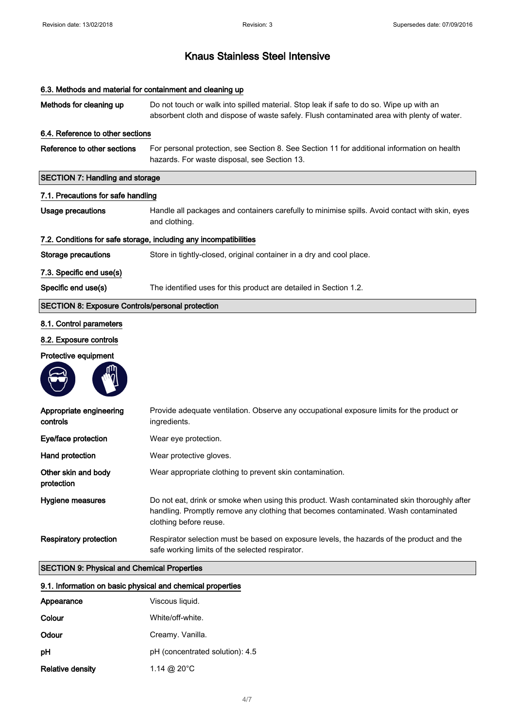Methods for cleaning up Do not touch or walk into spilled material. Stop leak if safe to do so. Wipe up with an

# absorbent cloth and dispose of waste safely. Flush contaminated area with plenty of water. 6.4. Reference to other sections Reference to other sections For personal protection, see Section 8. See Section 11 for additional information on health hazards. For waste disposal, see Section 13. SECTION 7: Handling and storage 7.1. Precautions for safe handling

Usage precautions **Handle all packages and containers carefully to minimise spills.** Avoid contact with skin, eyes and clothing.

#### 7.2. Conditions for safe storage, including any incompatibilities

6.3. Methods and material for containment and cleaning up

Storage precautions Store in tightly-closed, original container in a dry and cool place.

7.3. Specific end use(s)

Specific end use(s) The identified uses for this product are detailed in Section 1.2.

#### SECTION 8: Exposure Controls/personal protection

#### 8.1. Control parameters

## 8.2. Exposure controls

#### Protective equipment



| Appropriate engineering<br>controls | Provide adequate ventilation. Observe any occupational exposure limits for the product or<br>ingredients.                                                                                                    |
|-------------------------------------|--------------------------------------------------------------------------------------------------------------------------------------------------------------------------------------------------------------|
| Eye/face protection                 | Wear eye protection.                                                                                                                                                                                         |
| Hand protection                     | Wear protective gloves.                                                                                                                                                                                      |
| Other skin and body<br>protection   | Wear appropriate clothing to prevent skin contamination.                                                                                                                                                     |
| <b>Hygiene measures</b>             | Do not eat, drink or smoke when using this product. Wash contaminated skin thoroughly after<br>handling. Promptly remove any clothing that becomes contaminated. Wash contaminated<br>clothing before reuse. |
| <b>Respiratory protection</b>       | Respirator selection must be based on exposure levels, the hazards of the product and the<br>safe working limits of the selected respirator.                                                                 |

#### SECTION 9: Physical and Chemical Properties

| 9.1. Information on basic physical and chemical properties |                                 |
|------------------------------------------------------------|---------------------------------|
| Appearance                                                 | Viscous liquid.                 |
| Colour                                                     | White/off-white.                |
| Odour                                                      | Creamy. Vanilla.                |
| рH                                                         | pH (concentrated solution): 4.5 |
| <b>Relative density</b>                                    | 1.14 @ 20 $^{\circ}$ C          |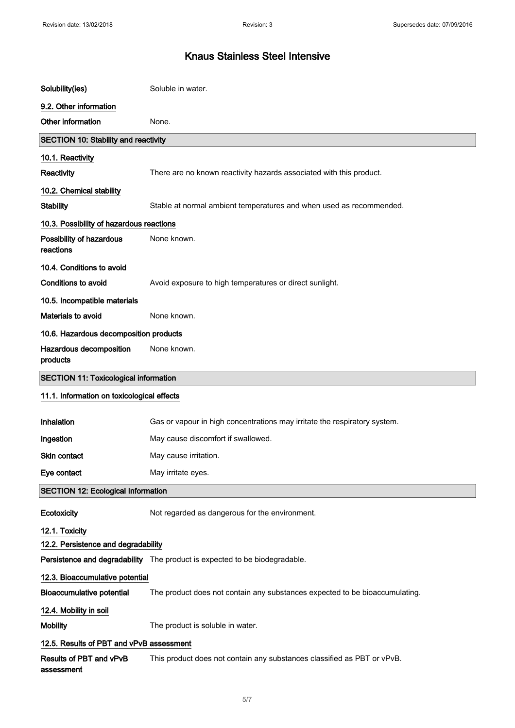| Solubility(ies)                              | Soluble in water.                                                           |  |
|----------------------------------------------|-----------------------------------------------------------------------------|--|
| 9.2. Other information                       |                                                                             |  |
| Other information                            | None.                                                                       |  |
| <b>SECTION 10: Stability and reactivity</b>  |                                                                             |  |
| 10.1. Reactivity                             |                                                                             |  |
| Reactivity                                   | There are no known reactivity hazards associated with this product.         |  |
| 10.2. Chemical stability                     |                                                                             |  |
| <b>Stability</b>                             | Stable at normal ambient temperatures and when used as recommended.         |  |
| 10.3. Possibility of hazardous reactions     |                                                                             |  |
| Possibility of hazardous<br>reactions        | None known.                                                                 |  |
| 10.4. Conditions to avoid                    |                                                                             |  |
| <b>Conditions to avoid</b>                   | Avoid exposure to high temperatures or direct sunlight.                     |  |
| 10.5. Incompatible materials                 |                                                                             |  |
| <b>Materials to avoid</b>                    | None known.                                                                 |  |
| 10.6. Hazardous decomposition products       |                                                                             |  |
| Hazardous decomposition<br>products          | None known.                                                                 |  |
| <b>SECTION 11: Toxicological information</b> |                                                                             |  |
| 11.1. Information on toxicological effects   |                                                                             |  |
| Inhalation                                   | Gas or vapour in high concentrations may irritate the respiratory system.   |  |
| Ingestion                                    | May cause discomfort if swallowed.                                          |  |
| <b>Skin contact</b>                          | May cause irritation.                                                       |  |
| Eye contact                                  | May irritate eyes.                                                          |  |
| <b>SECTION 12: Ecological Information</b>    |                                                                             |  |
| Ecotoxicity                                  | Not regarded as dangerous for the environment.                              |  |
| 12.1. Toxicity                               |                                                                             |  |
| 12.2. Persistence and degradability          |                                                                             |  |
|                                              | Persistence and degradability The product is expected to be biodegradable.  |  |
| 12.3. Bioaccumulative potential              |                                                                             |  |
| <b>Bioaccumulative potential</b>             | The product does not contain any substances expected to be bioaccumulating. |  |
| 12.4. Mobility in soil                       |                                                                             |  |
| <b>Mobility</b>                              | The product is soluble in water.                                            |  |
| 12.5. Results of PBT and vPvB assessment     |                                                                             |  |
| Results of PBT and vPvB<br>assessment        | This product does not contain any substances classified as PBT or vPvB.     |  |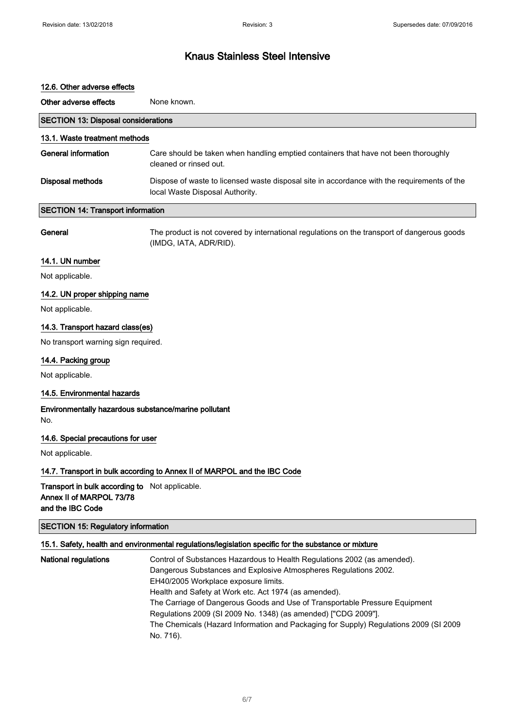#### 12.6. Other adverse effects

| Other adverse effects                      | None known.                                                                                                                    |
|--------------------------------------------|--------------------------------------------------------------------------------------------------------------------------------|
| <b>SECTION 13: Disposal considerations</b> |                                                                                                                                |
| 13.1. Waste treatment methods              |                                                                                                                                |
| General information                        | Care should be taken when handling emptied containers that have not been thoroughly<br>cleaned or rinsed out.                  |
| <b>Disposal methods</b>                    | Dispose of waste to licensed waste disposal site in accordance with the requirements of the<br>local Waste Disposal Authority. |
| <b>SECTION 14: Transport information</b>   |                                                                                                                                |

General The product is not covered by international regulations on the transport of dangerous goods (IMDG, IATA, ADR/RID).

## 14.1. UN number

Not applicable.

#### 14.2. UN proper shipping name

Not applicable.

#### 14.3. Transport hazard class(es)

No transport warning sign required.

#### 14.4. Packing group

Not applicable.

### 14.5. Environmental hazards

#### Environmentally hazardous substance/marine pollutant No.

14.6. Special precautions for user

Not applicable.

#### 14.7. Transport in bulk according to Annex II of MARPOL and the IBC Code

Transport in bulk according to Not applicable. Annex II of MARPOL 73/78 and the IBC Code

## SECTION 15: Regulatory information

## 15.1. Safety, health and environmental regulations/legislation specific for the substance or mixture

| National regulations | Control of Substances Hazardous to Health Regulations 2002 (as amended).              |
|----------------------|---------------------------------------------------------------------------------------|
|                      | Dangerous Substances and Explosive Atmospheres Regulations 2002.                      |
|                      | EH40/2005 Workplace exposure limits.                                                  |
|                      | Health and Safety at Work etc. Act 1974 (as amended).                                 |
|                      | The Carriage of Dangerous Goods and Use of Transportable Pressure Equipment           |
|                      | Regulations 2009 (SI 2009 No. 1348) (as amended) ["CDG 2009"].                        |
|                      | The Chemicals (Hazard Information and Packaging for Supply) Regulations 2009 (SI 2009 |
|                      | No. 716).                                                                             |